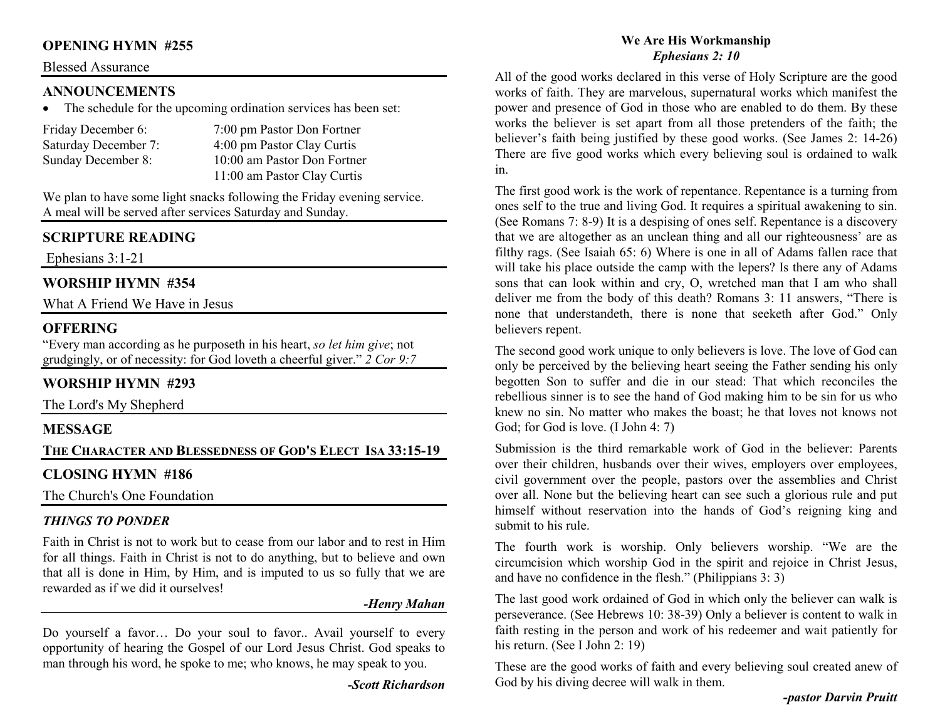## **OPENING HYMN #255**

#### Blessed Assurance

## **ANNOUNCEMENTS**

• The schedule for the upcoming ordination services has been set:

| Friday December 6:   | 7:00 pm Pastor Don Fortner  |
|----------------------|-----------------------------|
| Saturday December 7: | 4:00 pm Pastor Clay Curtis  |
| Sunday December 8:   | 10:00 am Pastor Don Fortner |
|                      | 11:00 am Pastor Clay Curtis |

We plan to have some light snacks following the Friday evening service. A meal will be served after services Saturday and Sunday.

## **SCRIPTURE READING**

Ephesians 3:1-21

## **WORSHIP HYMN #354**

What A Friend We Have in Jesus

## **OFFERING**

 "Every man according as he purposeth in his heart, *so let him give*; not grudgingly, or of necessity: for God loveth a cheerful giver." *2 Cor 9:7*

## **WORSHIP HYMN #293**

The Lord's My Shepherd

## **MESSAGE**

**THE CHARACTER AND BLESSEDNESS OF GOD'S ELECT ISA 33:15-19** 

## **CLOSING HYMN #186**

The Church's One Foundation

## *THINGS TO PONDER*

 Faith in Christ is not to work but to cease from our labor and to rest in Him for all things. Faith in Christ is not to do anything, but to believe and own that all is done in Him, by Him, and is imputed to us so fully that we are rewarded as if we did it ourselves!

#### *-Henry Mahan*

Do yourself a favor… Do your soul to favor.. Avail yourself to every opportunity of hearing the Gospel of our Lord Jesus Christ. God speaks to man through his word, he spoke to me; who knows, he may speak to you.

*-Scott Richardson* 

#### **We Are His Workmanship** *Ephesians 2: 10*

All of the good works declared in this verse of Holy Scripture are the good works of faith. They are marvelous, supernatural works which manifest the power and presence of God in those who are enabled to do them. By these works the believer is set apart from all those pretenders of the faith; the believer's faith being justified by these good works. (See James 2: 14-26) There are five good works which every believing soul is ordained to walk in.

The first good work is the work of repentance. Repentance is a turning from ones self to the true and living God. It requires a spiritual awakening to sin. (See Romans 7: 8-9) It is a despising of ones self. Repentance is a discovery that we are altogether as an unclean thing and all our righteousness' are as filthy rags. (See Isaiah 65: 6) Where is one in all of Adams fallen race that will take his place outside the camp with the lepers? Is there any of Adams sons that can look within and cry, O, wretched man that I am who shall deliver me from the body of this death? Romans 3: 11 answers, "There is none that understandeth, there is none that seeketh after God." Only believers repent.

The second good work unique to only believers is love. The love of God can only be perceived by the believing heart seeing the Father sending his only begotten Son to suffer and die in our stead: That which reconciles the rebellious sinner is to see the hand of God making him to be sin for us who knew no sin. No matter who makes the boast; he that loves not knows not God; for God is love. (I John 4: 7)

Submission is the third remarkable work of God in the believer: Parents over their children, husbands over their wives, employers over employees, civil government over the people, pastors over the assemblies and Christ over all. None but the believing heart can see such a glorious rule and put himself without reservation into the hands of God's reigning king and submit to his rule.

The fourth work is worship. Only believers worship. "We are the circumcision which worship God in the spirit and rejoice in Christ Jesus, and have no confidence in the flesh." (Philippians 3: 3)

The last good work ordained of God in which only the believer can walk is perseverance. (See Hebrews 10: 38-39) Only a believer is content to walk in faith resting in the person and work of his redeemer and wait patiently for his return. (See I John 2: 19)

These are the good works of faith and every believing soul created anew of God by his diving decree will walk in them.